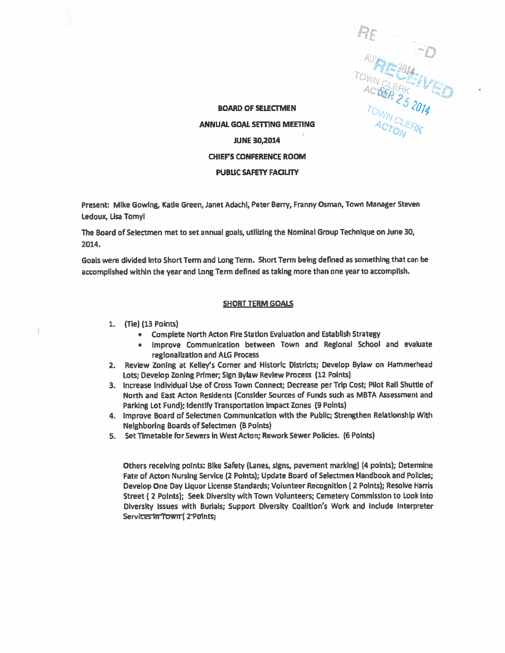0 4s, O4, "11

BOARD OF SELECTMEN by the contract of  $\delta N_{\rm C}$ ANNUAL GOAL SETTING MEETING JUNE 30,2014 CHIEFS CONFERENCE ROOM PUBLIC SAFETY FACILITY

Present: Mike Gowing, Katie Green, Janet Adachi, Peter Berry, Franny Osman, Town Manager Steven Ledoux, Lisa Tomyl

The Board of Seiectmen met to set annual goals, utilizing the Nominal Group Technique on June 30, 2014.

Goals were divided into Short Term and Long Term. Short Term being defined as something that can be accomplished within the year and Long Term defined as taking more than one year to accomplish.

## SHORT TERM GOALS

- 1. (Tie) (13 Points)
	- •Complete North Acton Fire Station Evaluation and Establish Strategy
	- • Improve Communication between Town and Regional School and evaluate regionalization and ALG Process
- 2. Review Zoning at Kelley's Corner and Historic Districts; Develop Bylaw on Hammerhead Lots; Develop Zoning Primer; Sign Bylaw Review Process (12 Points)
- 3. increase individual Use of Cross Town Connect; Decrease per Trip Cost; Pilot Rail Shuttle of North and East Acton Residents (Consider Sources of Funds such as MBTA Assessment and Parking Lot Fund); Identify Transportation Impact Zones (9 Points)
- 4. improve Board of Selectmen Communication with the Public; Strengthen Relationship With Neighboring Boards of Selectmen (B Points)
- 5. Set Timetable for Sewers in West Acton; Rework Sewer PolIcies. (6 Points)

Others receiving points: Bike Safety (Lanes, signs, pavemen<sup>t</sup> marking) (4 points); Determine Fate of Acton Nursing Service (2 Points); Update Board of Selectmen Handbook and Policies; Develop One Day Liquor License Standards; Volunteer Recognition ( <sup>2</sup> Points); Resolve Harris Street ( <sup>2</sup> Points); Seek Diversity with Town Volunteers; Cemetery Commission to Look Into Diversity Issues with Burials; Support Diversity Coalition's Work and Include Interpreter Services in Town (2 Points)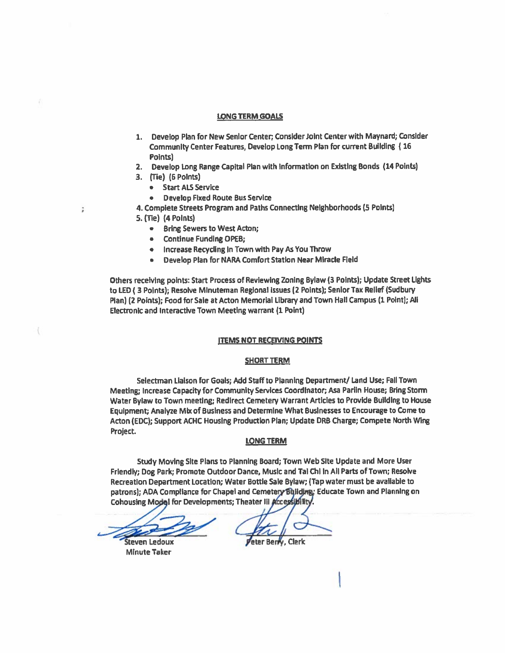#### LONG TERM GOALS

- 1. Develop Plan for New Senior Center; Consider Joint Center with Maynard; Consider Community Center Features, Develop Long Term Plan for current Building (16 Points)
- 2. Develop Long Range Capital Plan with information on Existing Bonds (14 Points)
- 3. (Tie) (6 Polnts)
	- Start ALS Service
	- Develop Fixed Route Bus Service

4. Complete Streets Program and Paths Connecting Neighborhoods (S Points) 5. (TIe) (4 Points)

- Bring Sewers to West Acton;
- Continue Funding OPEB;
- increase Recycling in Town with Pay As You Throw
- Develop Plan for NARA Comfort Station Near Miracle Field

Others receiving paints: Start Process of Reviewing Zoning Bylaw (3 Points); Update Street Lights to LED (3 Points); Resolve Minuteman Regional Issues (2 Points); Senior Tax Relief (Sudbury Plan) (2 Points); Food for Sale at Acton Memorial Library and Town Hall Campus (1 PoInt); NI Electronic and Interactive Town Meeting warrant (1 Point)

## ITEMS NOT RECEIVING POINTS

## SHORT TERM

Selectman Liaison for Goals; Add Staff to Pianning Department/ Land Use; Fall Town Meeting; Increase Capacity for Community Services Coordinator; Asa Parlin House; Bring Storm Water Bylaw to Town meeting; Redirect Cemetery Warrant Articles to Provide Building to House Equipment; Analyze Mix of Business and Determine What Businesses to Encourage to Come to Acton (EDC); Support ACHC Housing Production Plan; Update DRB Charge; Compete North Wing Project.

#### LONG TERM

Study Moving SIte Plans to Planning Board; Town Web Site Update and More User Friendly; Dog Park; Promote Outdoor Dance, Music and Tai Chi in Ali Parts of Town; Resolve Recreation Department Location; Water Bottle Sale Bylaw; (Tap water must be avaiiable to patrons); ADA Compliance for Chapel and Cemetery Building: Educate Town and Planning on Cohousing Model for Developments; Theater III Accessibility.

**Steven Ledoux** Minute Taker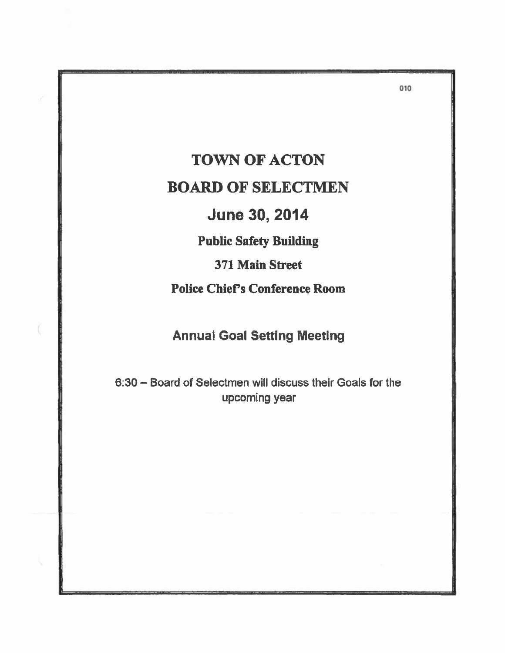TOWN OF ACTON BOARD OF SELECTMEN June 30, 2014

Public Safety Building

371 Main Street

Police Chief's Conference Room

Annual Goal Setting Meeting

6:30 — Board of Selectmen will discuss their Goals for the upcoming year

010